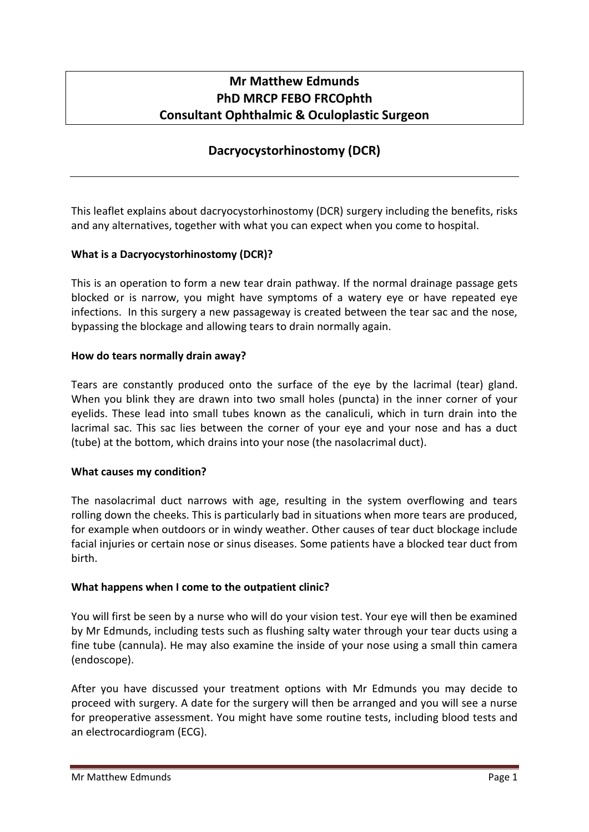# **Mr Matthew Edmunds PhD MRCP FEBO FRCOphth Consultant Ophthalmic & Oculoplastic Surgeon**

# **Dacryocystorhinostomy (DCR)**

This leaflet explains about dacryocystorhinostomy (DCR) surgery including the benefits, risks and any alternatives, together with what you can expect when you come to hospital.

# **What is a Dacryocystorhinostomy (DCR)?**

This is an operation to form a new tear drain pathway. If the normal drainage passage gets blocked or is narrow, you might have symptoms of a watery eye or have repeated eye infections. In this surgery a new passageway is created between the tear sac and the nose, bypassing the blockage and allowing tears to drain normally again.

## **How do tears normally drain away?**

Tears are constantly produced onto the surface of the eye by the lacrimal (tear) gland. When you blink they are drawn into two small holes (puncta) in the inner corner of your eyelids. These lead into small tubes known as the canaliculi, which in turn drain into the lacrimal sac. This sac lies between the corner of your eye and your nose and has a duct (tube) at the bottom, which drains into your nose (the nasolacrimal duct).

# **What causes my condition?**

The nasolacrimal duct narrows with age, resulting in the system overflowing and tears rolling down the cheeks. This is particularly bad in situations when more tears are produced, for example when outdoors or in windy weather. Other causes of tear duct blockage include facial injuries or certain nose or sinus diseases. Some patients have a blocked tear duct from birth.

# **What happens when I come to the outpatient clinic?**

You will first be seen by a nurse who will do your vision test. Your eye will then be examined by Mr Edmunds, including tests such as flushing salty water through your tear ducts using a fine tube (cannula). He may also examine the inside of your nose using a small thin camera (endoscope).

After you have discussed your treatment options with Mr Edmunds you may decide to proceed with surgery. A date for the surgery will then be arranged and you will see a nurse for preoperative assessment. You might have some routine tests, including blood tests and an electrocardiogram (ECG).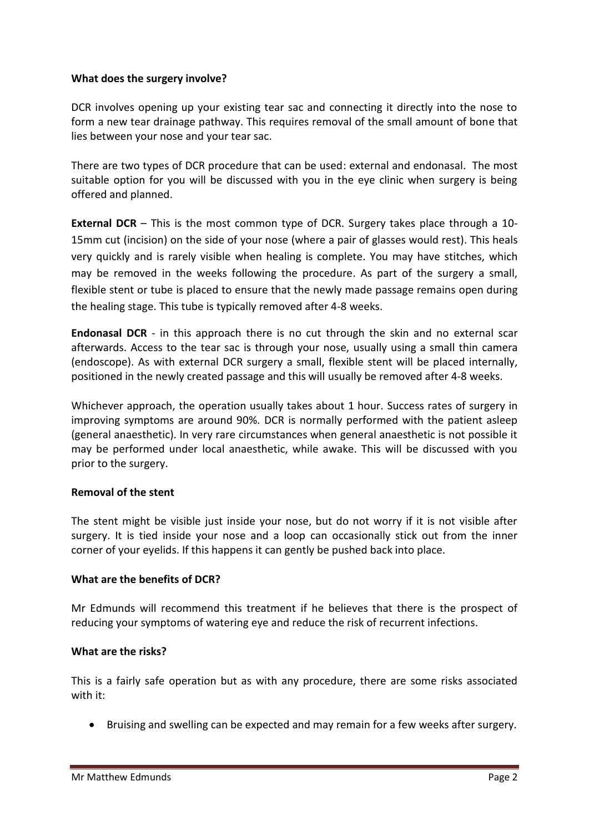## **What does the surgery involve?**

DCR involves opening up your existing tear sac and connecting it directly into the nose to form a new tear drainage pathway. This requires removal of the small amount of bone that lies between your nose and your tear sac.

There are two types of DCR procedure that can be used: external and endonasal. The most suitable option for you will be discussed with you in the eye clinic when surgery is being offered and planned.

**External DCR** – This is the most common type of DCR. Surgery takes place through a 10- 15mm cut (incision) on the side of your nose (where a pair of glasses would rest). This heals very quickly and is rarely visible when healing is complete. You may have stitches, which may be removed in the weeks following the procedure. As part of the surgery a small, flexible stent or tube is placed to ensure that the newly made passage remains open during the healing stage. This tube is typically removed after 4-8 weeks.

**Endonasal DCR** - in this approach there is no cut through the skin and no external scar afterwards. Access to the tear sac is through your nose, usually using a small thin camera (endoscope). As with external DCR surgery a small, flexible stent will be placed internally, positioned in the newly created passage and this will usually be removed after 4-8 weeks.

Whichever approach, the operation usually takes about 1 hour. Success rates of surgery in improving symptoms are around 90%. DCR is normally performed with the patient asleep (general anaesthetic). In very rare circumstances when general anaesthetic is not possible it may be performed under local anaesthetic, while awake. This will be discussed with you prior to the surgery.

# **Removal of the stent**

The stent might be visible just inside your nose, but do not worry if it is not visible after surgery. It is tied inside your nose and a loop can occasionally stick out from the inner corner of your eyelids. If this happens it can gently be pushed back into place.

#### **What are the benefits of DCR?**

Mr Edmunds will recommend this treatment if he believes that there is the prospect of reducing your symptoms of watering eye and reduce the risk of recurrent infections.

#### **What are the risks?**

This is a fairly safe operation but as with any procedure, there are some risks associated with it:

Bruising and swelling can be expected and may remain for a few weeks after surgery.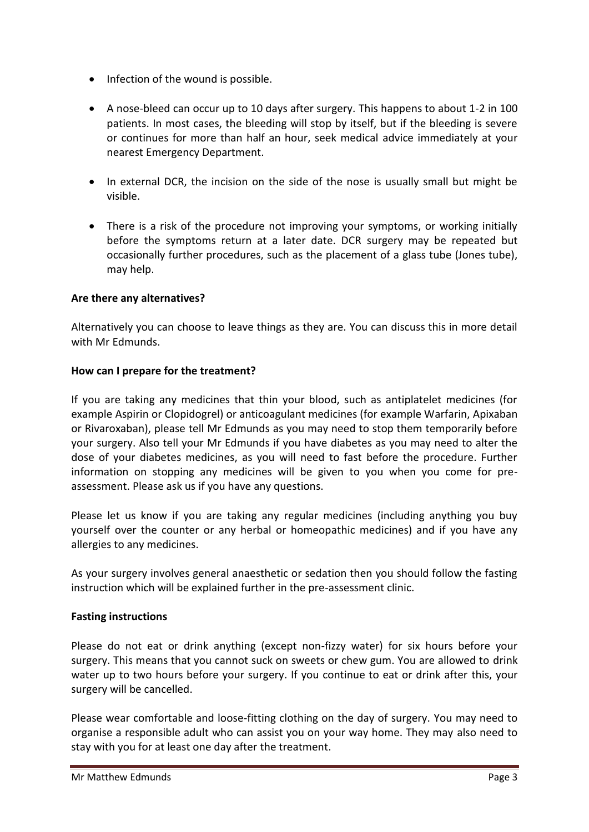- Infection of the wound is possible.
- A nose-bleed can occur up to 10 days after surgery. This happens to about 1-2 in 100 patients. In most cases, the bleeding will stop by itself, but if the bleeding is severe or continues for more than half an hour, seek medical advice immediately at your nearest Emergency Department.
- In external DCR, the incision on the side of the nose is usually small but might be visible.
- There is a risk of the procedure not improving your symptoms, or working initially before the symptoms return at a later date. DCR surgery may be repeated but occasionally further procedures, such as the placement of a glass tube (Jones tube), may help.

# **Are there any alternatives?**

Alternatively you can choose to leave things as they are. You can discuss this in more detail with Mr Edmunds.

## **How can I prepare for the treatment?**

If you are taking any medicines that thin your blood, such as antiplatelet medicines (for example Aspirin or Clopidogrel) or anticoagulant medicines (for example Warfarin, Apixaban or Rivaroxaban), please tell Mr Edmunds as you may need to stop them temporarily before your surgery. Also tell your Mr Edmunds if you have diabetes as you may need to alter the dose of your diabetes medicines, as you will need to fast before the procedure. Further information on stopping any medicines will be given to you when you come for preassessment. Please ask us if you have any questions.

Please let us know if you are taking any regular medicines (including anything you buy yourself over the counter or any herbal or homeopathic medicines) and if you have any allergies to any medicines.

As your surgery involves general anaesthetic or sedation then you should follow the fasting instruction which will be explained further in the pre-assessment clinic.

#### **Fasting instructions**

Please do not eat or drink anything (except non-fizzy water) for six hours before your surgery. This means that you cannot suck on sweets or chew gum. You are allowed to drink water up to two hours before your surgery. If you continue to eat or drink after this, your surgery will be cancelled.

Please wear comfortable and loose-fitting clothing on the day of surgery. You may need to organise a responsible adult who can assist you on your way home. They may also need to stay with you for at least one day after the treatment.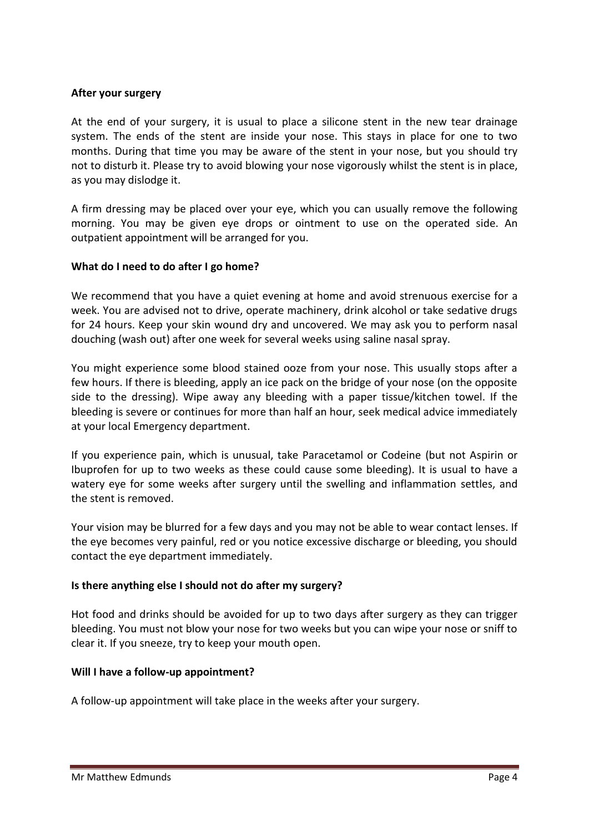## **After your surgery**

At the end of your surgery, it is usual to place a silicone stent in the new tear drainage system. The ends of the stent are inside your nose. This stays in place for one to two months. During that time you may be aware of the stent in your nose, but you should try not to disturb it. Please try to avoid blowing your nose vigorously whilst the stent is in place, as you may dislodge it.

A firm dressing may be placed over your eye, which you can usually remove the following morning. You may be given eye drops or ointment to use on the operated side. An outpatient appointment will be arranged for you.

## **What do I need to do after I go home?**

We recommend that you have a quiet evening at home and avoid strenuous exercise for a week. You are advised not to drive, operate machinery, drink alcohol or take sedative drugs for 24 hours. Keep your skin wound dry and uncovered. We may ask you to perform nasal douching (wash out) after one week for several weeks using saline nasal spray.

You might experience some blood stained ooze from your nose. This usually stops after a few hours. If there is bleeding, apply an ice pack on the bridge of your nose (on the opposite side to the dressing). Wipe away any bleeding with a paper tissue/kitchen towel. If the bleeding is severe or continues for more than half an hour, seek medical advice immediately at your local Emergency department.

If you experience pain, which is unusual, take Paracetamol or Codeine (but not Aspirin or Ibuprofen for up to two weeks as these could cause some bleeding). It is usual to have a watery eye for some weeks after surgery until the swelling and inflammation settles, and the stent is removed.

Your vision may be blurred for a few days and you may not be able to wear contact lenses. If the eye becomes very painful, red or you notice excessive discharge or bleeding, you should contact the eye department immediately.

# **Is there anything else I should not do after my surgery?**

Hot food and drinks should be avoided for up to two days after surgery as they can trigger bleeding. You must not blow your nose for two weeks but you can wipe your nose or sniff to clear it. If you sneeze, try to keep your mouth open.

#### **Will I have a follow-up appointment?**

A follow-up appointment will take place in the weeks after your surgery.